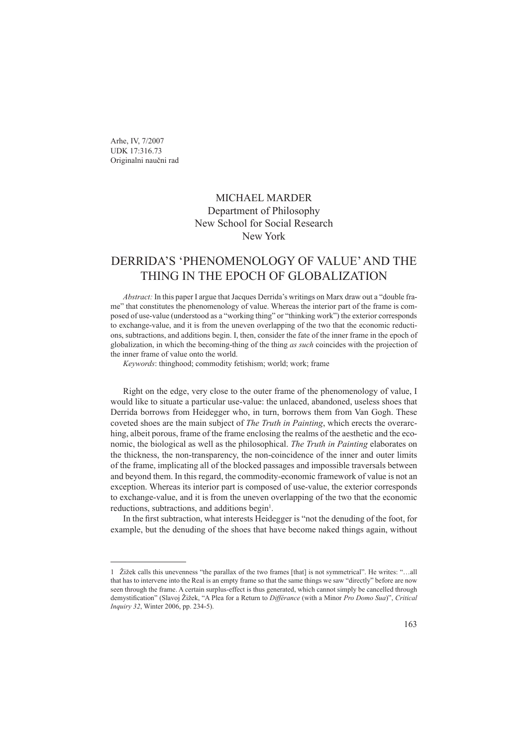### MICHAEL MARDER Department of Philosophy New School for Social Research New York

# DERRIDA'S 'PHENOMENOLOGY OF VALUE' AND THE THING IN THE EPOCH OF GLOBALIZATION

*Abstract:* In this paper I argue that Jacques Derrida's writings on Marx draw out a "double frame" that constitutes the phenomenology of value. Whereas the interior part of the frame is composed of use-value (understood as a "working thing" or "thinking work") the exterior corresponds to exchange-value, and it is from the uneven overlapping of the two that the economic reductions, subtractions, and additions begin. I, then, consider the fate of the inner frame in the epoch of globalization, in which the becoming-thing of the thing *as such* coincides with the projection of the inner frame of value onto the world.

*Keywords*: thinghood; commodity fetishism; world; work; frame

Right on the edge, very close to the outer frame of the phenomenology of value, I would like to situate a particular use-value: the unlaced, abandoned, useless shoes that Derrida borrows from Heidegger who, in turn, borrows them from Van Gogh. These coveted shoes are the main subject of *The Truth in Painting*, which erects the overarching, albeit porous, frame of the frame enclosing the realms of the aesthetic and the economic, the biological as well as the philosophical. *The Truth in Painting* elaborates on the thickness, the non-transparency, the non-coincidence of the inner and outer limits of the frame, implicating all of the blocked passages and impossible traversals between and beyond them. In this regard, the commodity-economic framework of value is not an exception. Whereas its interior part is composed of use-value, the exterior corresponds to exchange-value, and it is from the uneven overlapping of the two that the economic reductions, subtractions, and additions begin<sup>1</sup>.

In the first subtraction, what interests Heidegger is "not the denuding of the foot, for example, but the denuding of the shoes that have become naked things again, without

Žižek calls this unevenness "the parallax of the two frames [that] is not symmetrical". He writes: "…all that has to intervene into the Real is an empty frame so that the same things we saw "directly" before are now seen through the frame. A certain surplus-effect is thus generated, which cannot simply be cancelled through demystification" (Slavoj Žižek, "A Plea for a Return to *Différance* (with a Minor *Pro Domo Sua*)", *Critical Inquiry 32*, Winter 2006, pp. 234-5).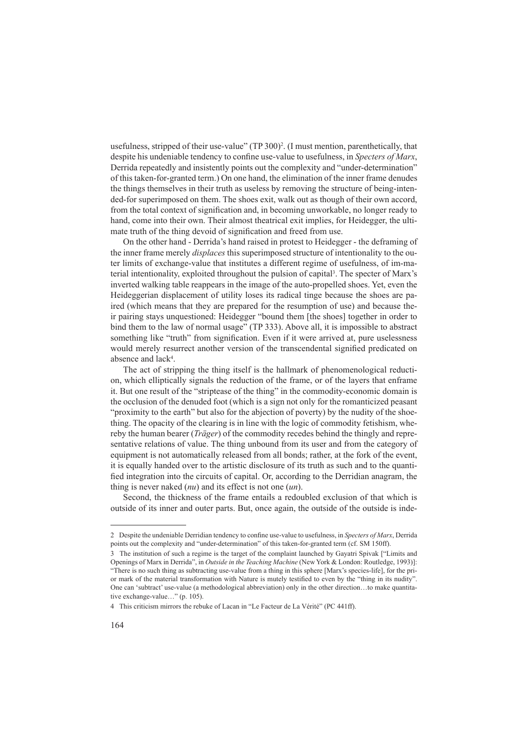usefulness, stripped of their use-value" (TP 300)<sup>2</sup>. (I must mention, parenthetically, that despite his undeniable tendency to confine use-value to usefulness, in *Specters of Marx*, Derrida repeatedly and insistently points out the complexity and "under-determination" of this taken-for-granted term.) On one hand, the elimination of the inner frame denudes the things themselves in their truth as useless by removing the structure of being-intended-for superimposed on them. The shoes exit, walk out as though of their own accord, from the total context of signification and, in becoming unworkable, no longer ready to hand, come into their own. Their almost theatrical exit implies, for Heidegger, the ultimate truth of the thing devoid of signification and freed from use.

On the other hand - Derrida's hand raised in protest to Heidegger - the deframing of the inner frame merely *displaces* this superimposed structure of intentionality to the outer limits of exchange-value that institutes a different regime of usefulness, of im-material intentionality, exploited throughout the pulsion of capital . The specter of Marx's inverted walking table reappears in the image of the auto-propelled shoes. Yet, even the Heideggerian displacement of utility loses its radical tinge because the shoes are paired (which means that they are prepared for the resumption of use) and because their pairing stays unquestioned: Heidegger "bound them [the shoes] together in order to bind them to the law of normal usage" (TP 333). Above all, it is impossible to abstract something like "truth" from signification. Even if it were arrived at, pure uselessness would merely resurrect another version of the transcendental signified predicated on absence and lack<sup>4</sup>.

The act of stripping the thing itself is the hallmark of phenomenological reduction, which elliptically signals the reduction of the frame, or of the layers that enframe it. But one result of the "striptease of the thing" in the commodity-economic domain is the occlusion of the denuded foot (which is a sign not only for the romanticized peasant "proximity to the earth" but also for the abjection of poverty) by the nudity of the shoething. The opacity of the clearing is in line with the logic of commodity fetishism, whereby the human bearer (*Träger*) of the commodity recedes behind the thingly and representative relations of value. The thing unbound from its user and from the category of equipment is not automatically released from all bonds; rather, at the fork of the event, it is equally handed over to the artistic disclosure of its truth as such and to the quantified integration into the circuits of capital. Or, according to the Derridian anagram, the thing is never naked (*nu*) and its effect is not one (*un*).

Second, the thickness of the frame entails a redoubled exclusion of that which is outside of its inner and outer parts. But, once again, the outside of the outside is inde-

Despite the undeniable Derridian tendency to confine use-value to usefulness, in *Specters of Marx*, Derrida points out the complexity and "under-determination" of this taken-for-granted term (cf. SM 150ff).

The institution of such a regime is the target of the complaint launched by Gayatri Spivak ["Limits and Openings of Marx in Derrida", in *Outside in the Teaching Machine* (New York & London: Routledge, 1993)]: "There is no such thing as subtracting use-value from a thing in this sphere [Marx's species-life], for the prior mark of the material transformation with Nature is mutely testified to even by the "thing in its nudity". One can 'subtract' use-value (a methodological abbreviation) only in the other direction…to make quantitative exchange-value…" (p. 105).

This criticism mirrors the rebuke of Lacan in "Le Facteur de La Vérité" (PC 441ff).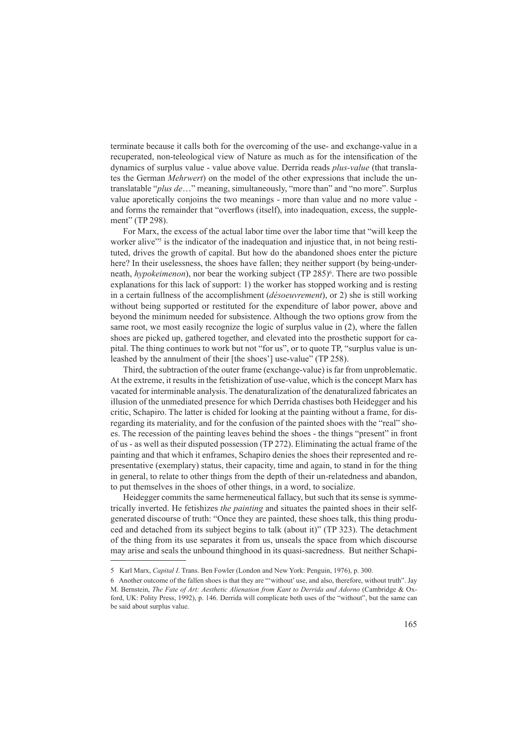terminate because it calls both for the overcoming of the use- and exchange-value in a recuperated, non-teleological view of Nature as much as for the intensification of the dynamics of surplus value - value above value. Derrida reads *plus-value* (that translates the German *Mehrwert*) on the model of the other expressions that include the untranslatable "*plus de*…" meaning, simultaneously, "more than" and "no more". Surplus value aporetically conjoins the two meanings - more than value and no more value and forms the remainder that "overflows (itself), into inadequation, excess, the supplement" (TP 298).

For Marx, the excess of the actual labor time over the labor time that "will keep the worker alive<sup>"</sup> is the indicator of the inadequation and injustice that, in not being restituted, drives the growth of capital. But how do the abandoned shoes enter the picture here? In their uselessness, the shoes have fallen; they neither support (by being-underneath, *hypokeimenon*), nor bear the working subject (TP 285) . There are two possible explanations for this lack of support: 1) the worker has stopped working and is resting in a certain fullness of the accomplishment (*désoeuvrement*), or 2) she is still working without being supported or restituted for the expenditure of labor power, above and beyond the minimum needed for subsistence. Although the two options grow from the same root, we most easily recognize the logic of surplus value in (2), where the fallen shoes are picked up, gathered together, and elevated into the prosthetic support for capital. The thing continues to work but not "for us", or to quote TP, "surplus value is unleashed by the annulment of their [the shoes'] use-value" (TP 258).

Third, the subtraction of the outer frame (exchange-value) is far from unproblematic. At the extreme, it results in the fetishization of use-value, which is the concept Marx has vacated for interminable analysis. The denaturalization of the denaturalized fabricates an illusion of the unmediated presence for which Derrida chastises both Heidegger and his critic, Schapiro. The latter is chided for looking at the painting without a frame, for disregarding its materiality, and for the confusion of the painted shoes with the "real" shoes. The recession of the painting leaves behind the shoes - the things "present" in front of us - as well as their disputed possession (TP 272). Eliminating the actual frame of the painting and that which it enframes, Schapiro denies the shoes their represented and representative (exemplary) status, their capacity, time and again, to stand in for the thing in general, to relate to other things from the depth of their un-relatedness and abandon, to put themselves in the shoes of other things, in a word, to socialize.

Heidegger commits the same hermeneutical fallacy, but such that its sense is symmetrically inverted. He fetishizes *the painting* and situates the painted shoes in their selfgenerated discourse of truth: "Once they are painted, these shoes talk, this thing produced and detached from its subject begins to talk (about it)" (TP 323). The detachment of the thing from its use separates it from us, unseals the space from which discourse may arise and seals the unbound thinghood in its quasi-sacredness. But neither Schapi-

<sup>5</sup> Karl Marx, *Capital I*. Trans. Ben Fowler (London and New York: Penguin, 1976), p. 300.

Another outcome of the fallen shoes is that they are "'without' use, and also, therefore, without truth". Jay M. Bernstein, *The Fate of Art: Aesthetic Alienation from Kant to Derrida and Adorno* (Cambridge & Oxford, UK: Polity Press, 1992), p. 146. Derrida will complicate both uses of the "without", but the same can be said about surplus value.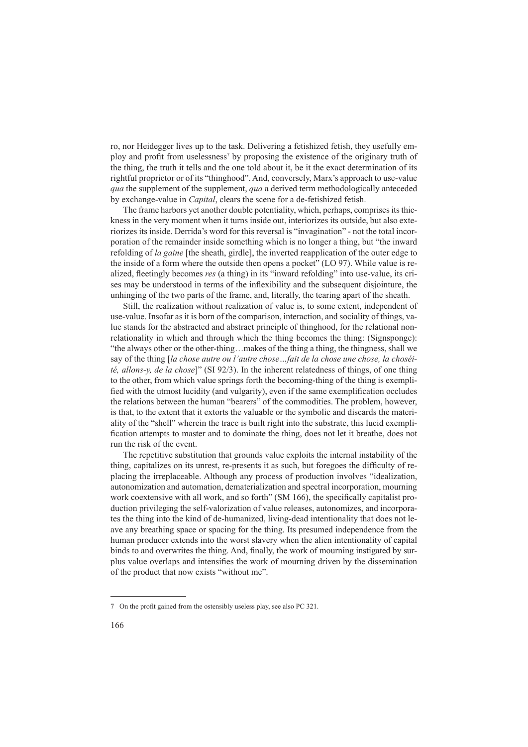ro, nor Heidegger lives up to the task. Delivering a fetishized fetish, they usefully employ and profit from uselessness<sup>7</sup> by proposing the existence of the originary truth of the thing, the truth it tells and the one told about it, be it the exact determination of its rightful proprietor or of its "thinghood". And, conversely, Marx's approach to use-value *qua* the supplement of the supplement, *qua* a derived term methodologically anteceded by exchange-value in *Capital*, clears the scene for a de-fetishized fetish.

The frame harbors yet another double potentiality, which, perhaps, comprises its thickness in the very moment when it turns inside out, interiorizes its outside, but also exteriorizes its inside. Derrida's word for this reversal is "invagination" - not the total incorporation of the remainder inside something which is no longer a thing, but "the inward refolding of *la gaine* [the sheath, girdle], the inverted reapplication of the outer edge to the inside of a form where the outside then opens a pocket" (LO 97). While value is realized, fleetingly becomes *res* (a thing) in its "inward refolding" into use-value, its crises may be understood in terms of the inflexibility and the subsequent disjointure, the unhinging of the two parts of the frame, and, literally, the tearing apart of the sheath.

Still, the realization without realization of value is, to some extent, independent of use-value. Insofar as it is born of the comparison, interaction, and sociality of things, value stands for the abstracted and abstract principle of thinghood, for the relational nonrelationality in which and through which the thing becomes the thing: (Signsponge): "the always other or the other-thing…makes of the thing a thing, the thingness, shall we say of the thing [*la chose autre ou l'autre chose…fait de la chose une chose, la choséité, allons-y, de la chose*]" (SI 92/3). In the inherent relatedness of things, of one thing to the other, from which value springs forth the becoming-thing of the thing is exemplified with the utmost lucidity (and vulgarity), even if the same exemplification occludes the relations between the human "bearers" of the commodities. The problem, however, is that, to the extent that it extorts the valuable or the symbolic and discards the materiality of the "shell" wherein the trace is built right into the substrate, this lucid exemplification attempts to master and to dominate the thing, does not let it breathe, does not run the risk of the event.

The repetitive substitution that grounds value exploits the internal instability of the thing, capitalizes on its unrest, re-presents it as such, but foregoes the difficulty of replacing the irreplaceable. Although any process of production involves "idealization, autonomization and automation, dematerialization and spectral incorporation, mourning work coextensive with all work, and so forth" (SM 166), the specifically capitalist production privileging the self-valorization of value releases, autonomizes, and incorporates the thing into the kind of de-humanized, living-dead intentionality that does not leave any breathing space or spacing for the thing. Its presumed independence from the human producer extends into the worst slavery when the alien intentionality of capital binds to and overwrites the thing. And, finally, the work of mourning instigated by surplus value overlaps and intensifies the work of mourning driven by the dissemination of the product that now exists "without me".

On the profit gained from the ostensibly useless play, see also PC 321.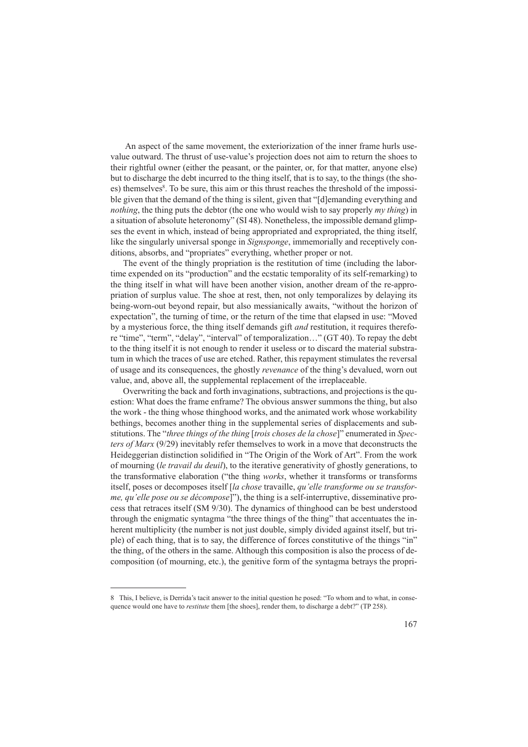An aspect of the same movement, the exteriorization of the inner frame hurls usevalue outward. The thrust of use-value's projection does not aim to return the shoes to their rightful owner (either the peasant, or the painter, or, for that matter, anyone else) but to discharge the debt incurred to the thing itself, that is to say, to the things (the shoes) themselves<sup>8</sup>. To be sure, this aim or this thrust reaches the threshold of the impossible given that the demand of the thing is silent, given that "[d]emanding everything and *nothing*, the thing puts the debtor (the one who would wish to say properly *my thing*) in a situation of absolute heteronomy" (SI 48). Nonetheless, the impossible demand glimpses the event in which, instead of being appropriated and expropriated, the thing itself, like the singularly universal sponge in *Signsponge*, immemorially and receptively conditions, absorbs, and "propriates" everything, whether proper or not.

The event of the thingly propriation is the restitution of time (including the labortime expended on its "production" and the ecstatic temporality of its self-remarking) to the thing itself in what will have been another vision, another dream of the re-appropriation of surplus value. The shoe at rest, then, not only temporalizes by delaying its being-worn-out beyond repair, but also messianically awaits, "without the horizon of expectation", the turning of time, or the return of the time that elapsed in use: "Moved by a mysterious force, the thing itself demands gift *and* restitution, it requires therefore "time", "term", "delay", "interval" of temporalization…" (GT 40). To repay the debt to the thing itself it is not enough to render it useless or to discard the material substratum in which the traces of use are etched. Rather, this repayment stimulates the reversal of usage and its consequences, the ghostly *revenance* of the thing's devalued, worn out value, and, above all, the supplemental replacement of the irreplaceable.

Overwriting the back and forth invaginations, subtractions, and projections is the question: What does the frame enframe? The obvious answer summons the thing, but also the work - the thing whose thinghood works, and the animated work whose workability bethings, becomes another thing in the supplemental series of displacements and substitutions. The "*three things of the thing* [*trois choses de la chose*]" enumerated in *Specters of Marx* (9/29) inevitably refer themselves to work in a move that deconstructs the Heideggerian distinction solidified in "The Origin of the Work of Art". From the work of mourning (*le travail du deuil*), to the iterative generativity of ghostly generations, to the transformative elaboration ("the thing *works*, whether it transforms or transforms itself, poses or decomposes itself [*la chose* travaille, *qu'elle transforme ou se transforme, qu'elle pose ou se décompose*]"), the thing is a self-interruptive, disseminative process that retraces itself (SM 9/30). The dynamics of thinghood can be best understood through the enigmatic syntagma "the three things of the thing" that accentuates the inherent multiplicity (the number is not just double, simply divided against itself, but triple) of each thing, that is to say, the difference of forces constitutive of the things "in" the thing, of the others in the same. Although this composition is also the process of decomposition (of mourning, etc.), the genitive form of the syntagma betrays the propri-

This, I believe, is Derrida's tacit answer to the initial question he posed: "To whom and to what, in consequence would one have to *restitute* them [the shoes], render them, to discharge a debt?" (TP 258).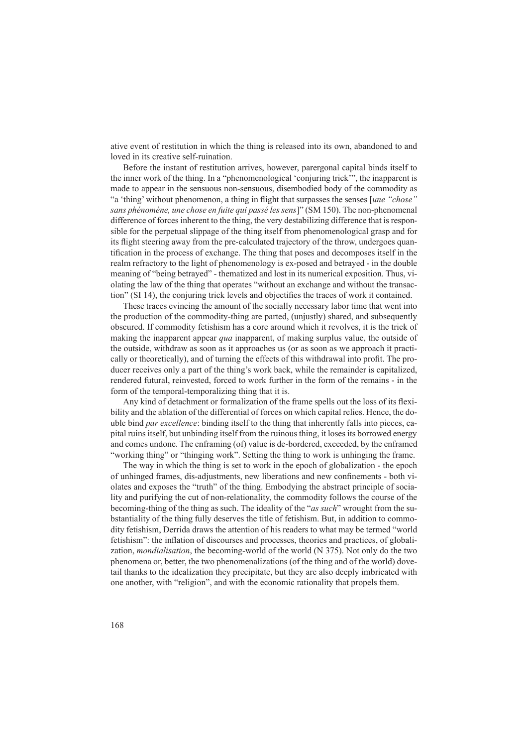ative event of restitution in which the thing is released into its own, abandoned to and loved in its creative self-ruination.

Before the instant of restitution arrives, however, parergonal capital binds itself to the inner work of the thing. In a "phenomenological 'conjuring trick'", the inapparent is made to appear in the sensuous non-sensuous, disembodied body of the commodity as "a 'thing' without phenomenon, a thing in flight that surpasses the senses [*une "chose" sans phénomène, une chose en fuite qui passé les sens*]" (SM 150). The non-phenomenal difference of forces inherent to the thing, the very destabilizing difference that is responsible for the perpetual slippage of the thing itself from phenomenological grasp and for its flight steering away from the pre-calculated trajectory of the throw, undergoes quantification in the process of exchange. The thing that poses and decomposes itself in the realm refractory to the light of phenomenology is ex-posed and betrayed - in the double meaning of "being betrayed" - thematized and lost in its numerical exposition. Thus, violating the law of the thing that operates "without an exchange and without the transaction" (SI 14), the conjuring trick levels and objectifies the traces of work it contained.

These traces evincing the amount of the socially necessary labor time that went into the production of the commodity-thing are parted, (unjustly) shared, and subsequently obscured. If commodity fetishism has a core around which it revolves, it is the trick of making the inapparent appear *qua* inapparent, of making surplus value, the outside of the outside, withdraw as soon as it approaches us (or as soon as we approach it practically or theoretically), and of turning the effects of this withdrawal into profit. The producer receives only a part of the thing's work back, while the remainder is capitalized, rendered futural, reinvested, forced to work further in the form of the remains - in the form of the temporal-temporalizing thing that it is.

Any kind of detachment or formalization of the frame spells out the loss of its flexibility and the ablation of the differential of forces on which capital relies. Hence, the double bind *par excellence*: binding itself to the thing that inherently falls into pieces, capital ruins itself, but unbinding itself from the ruinous thing, it loses its borrowed energy and comes undone. The enframing (of) value is de-bordered, exceeded, by the enframed "working thing" or "thinging work". Setting the thing to work is unhinging the frame.

The way in which the thing is set to work in the epoch of globalization - the epoch of unhinged frames, dis-adjustments, new liberations and new confinements - both violates and exposes the "truth" of the thing. Embodying the abstract principle of sociality and purifying the cut of non-relationality, the commodity follows the course of the becoming-thing of the thing as such. The ideality of the "*as such*" wrought from the substantiality of the thing fully deserves the title of fetishism. But, in addition to commodity fetishism, Derrida draws the attention of his readers to what may be termed "world fetishism": the inflation of discourses and processes, theories and practices, of globalization, *mondialisation*, the becoming-world of the world (N 375). Not only do the two phenomena or, better, the two phenomenalizations (of the thing and of the world) dovetail thanks to the idealization they precipitate, but they are also deeply imbricated with one another, with "religion", and with the economic rationality that propels them.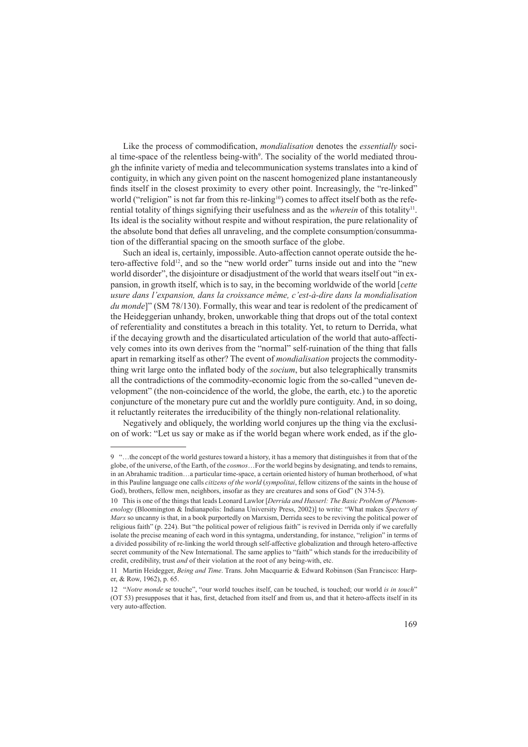Like the process of commodification, *mondialisation* denotes the *essentially* social time-space of the relentless being-with<sup>9</sup>. The sociality of the world mediated through the infinite variety of media and telecommunication systems translates into a kind of contiguity, in which any given point on the nascent homogenized plane instantaneously finds itself in the closest proximity to every other point. Increasingly, the "re-linked" world ("religion" is not far from this re-linking<sup>10</sup>) comes to affect itself both as the referential totality of things signifying their usefulness and as the *wherein* of this totality<sup>11</sup>. Its ideal is the sociality without respite and without respiration, the pure relationality of the absolute bond that defies all unraveling, and the complete consumption/consummation of the differantial spacing on the smooth surface of the globe.

Such an ideal is, certainly, impossible. Auto-affection cannot operate outside the hetero-affective fold<sup>12</sup>, and so the "new world order" turns inside out and into the "new world disorder", the disjointure or disadjustment of the world that wears itself out "in expansion, in growth itself, which is to say, in the becoming worldwide of the world [*cette usure dans l'expansion, dans la croissance même, c'est-à-dire dans la mondialisation du monde*]" (SM 78/130). Formally, this wear and tear is redolent of the predicament of the Heideggerian unhandy, broken, unworkable thing that drops out of the total context of referentiality and constitutes a breach in this totality. Yet, to return to Derrida, what if the decaying growth and the disarticulated articulation of the world that auto-affectively comes into its own derives from the "normal" self-ruination of the thing that falls apart in remarking itself as other? The event of *mondialisation* projects the commoditything writ large onto the inflated body of the *socium*, but also telegraphically transmits all the contradictions of the commodity-economic logic from the so-called "uneven development" (the non-coincidence of the world, the globe, the earth, etc.) to the aporetic conjuncture of the monetary pure cut and the worldly pure contiguity. And, in so doing, it reluctantly reiterates the irreducibility of the thingly non-relational relationality.

Negatively and obliquely, the worlding world conjures up the thing via the exclusion of work: "Let us say or make as if the world began where work ended, as if the glo-

 <sup>&</sup>quot;…the concept of the world gestures toward a history, it has a memory that distinguishes it from that of the globe, of the universe, of the Earth, of the *cosmos*…For the world begins by designating, and tends to remains, in an Abrahamic tradition…a particular time-space, a certain oriented history of human brotherhood, of what in this Pauline language one calls *citizens of the world* (*sympolitai*, fellow citizens of the saints in the house of God), brothers, fellow men, neighbors, insofar as they are creatures and sons of God" (N 374-5).

<sup>10</sup> This is one of the things that leads Leonard Lawlor [*Derrida and Husserl: The Basic Problem of Phenomenology* (Bloomington & Indianapolis: Indiana University Press, 2002)] to write: "What makes *Specters of Marx* so uncanny is that, in a book purportedly on Marxism, Derrida sees to be reviving the political power of religious faith" (p. 224). But "the political power of religious faith" is revived in Derrida only if we carefully isolate the precise meaning of each word in this syntagma, understanding, for instance, "religion" in terms of a divided possibility of re-linking the world through self-affective globalization and through hetero-affective secret community of the New International. The same applies to "faith" which stands for the irreducibility of credit, credibility, trust *and* of their violation at the root of any being-with, etc.

<sup>11</sup> Martin Heidegger, *Being and Time*. Trans. John Macquarrie & Edward Robinson (San Francisco: Harper, & Row, 1962), p. 65.

<sup>12 &</sup>quot;*Notre monde* se touche", "our world touches itself, can be touched, is touched; our world *is in touch*" (OT 53) presupposes that it has, first, detached from itself and from us, and that it hetero-affects itself in its very auto-affection.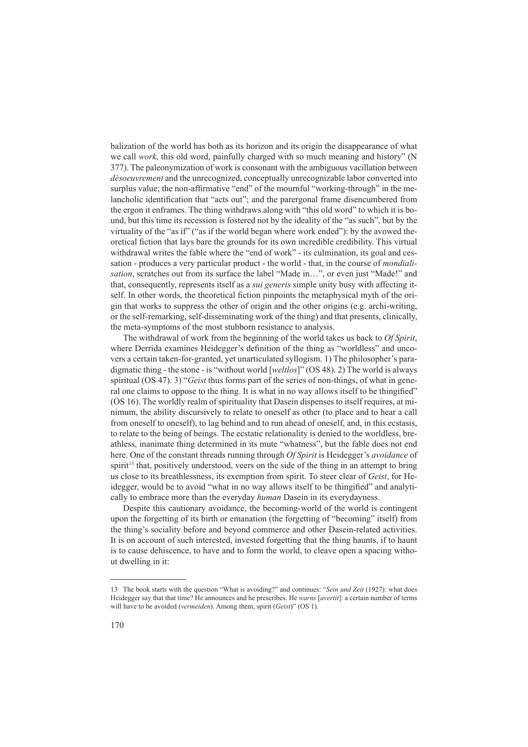balization of the world has both as its horizon and its origin the disappearance of what we call *work*, this old word, painfully charged with so much meaning and history" (N 377). The paleonymization of work is consonant with the ambiguous vacillation between *désoeuvrement* and the unrecognized, conceptually unrecognizable labor converted into surplus value; the non-affirmative "end" of the mournful "working-through" in the melancholic identification that "acts out"; and the parergonal frame disencumbered from the ergon it enframes. The thing withdraws along with "this old word" to which it is bound, but this time its recession is fostered not by the ideality of the "as such", but by the virtuality of the "as if" ("as if the world began where work ended"): by the avowed theoretical fiction that lays bare the grounds for its own incredible credibility. This virtual withdrawal writes the fable where the "end of work" - its culmination, its goal and cessation - produces a very particular product - the world - that, in the course of *mondialisation*, scratches out from its surface the label "Made in…", or even just "Made!" and that, consequently, represents itself as a *sui generis* simple unity busy with affecting itself. In other words, the theoretical fiction pinpoints the metaphysical myth of the origin that works to suppress the other of origin and the other origins (e.g. archi-writing, or the self-remarking, self-disseminating work of the thing) and that presents, clinically, the meta-symptoms of the most stubborn resistance to analysis.

The withdrawal of work from the beginning of the world takes us back to *Of Spirit*, where Derrida examines Heidegger's definition of the thing as "worldless" and uncovers a certain taken-for-granted, yet unarticulated syllogism. 1) The philosopher's paradigmatic thing - the stone - is "without world [*weltlos*]" (OS 48). 2) The world is always spiritual (OS 47). 3) "*Geist* thus forms part of the series of non-things, of what in general one claims to oppose to the thing. It is what in no way allows itself to be thingified" (OS 16). The worldly realm of spirituality that Dasein dispenses to itself requires, at minimum, the ability discursively to relate to oneself as other (to place and to hear a call from oneself to oneself), to lag behind and to run ahead of oneself, and, in this ecstasis, to relate to the being of beings. The ecstatic relationality is denied to the worldless, breathless, inanimate thing determined in its mute "whatness", but the fable does not end here. One of the constant threads running through *Of Spirit* is Heidegger's *avoidance* of spirit<sup>13</sup> that, positively understood, veers on the side of the thing in an attempt to bring us close to its breathlessness, its exemption from spirit. To steer clear of *Geist*, for Heidegger, would be to avoid "what in no way allows itself to be thingified" and analytically to embrace more than the everyday *human* Dasein in its everydayness.

Despite this cautionary avoidance, the becoming-world of the world is contingent upon the forgetting of its birth or emanation (the forgetting of "becoming" itself) from the thing's sociality before and beyond commerce and other Dasein-related activities. It is on account of such interested, invested forgetting that the thing haunts, if to haunt is to cause dehiscence, to have and to form the world, to cleave open a spacing without dwelling in it:

<sup>13</sup> The book starts with the question "What is avoiding?" and continues: "*Sein und Zeit* (1927): what does Heidegger say that that time? He announces and he prescribes. He *warns* [*avertit*]: a certain number of terms will have to be avoided (*vermeiden*). Among them, spirit (*Geist*)" (OS 1).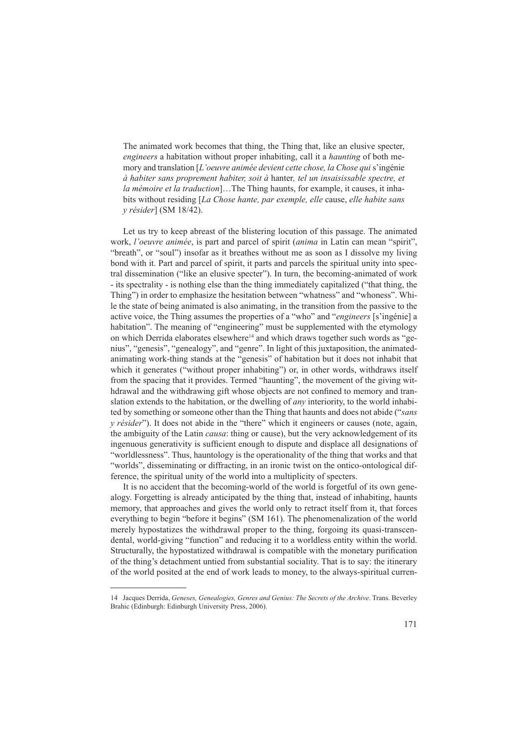The animated work becomes that thing, the Thing that, like an elusive specter, *engineers* a habitation without proper inhabiting, call it a *haunting* of both memory and translation [*L'oeuvre animée devient cette chose, la Chose qui* s'ingénie *à habiter sans proprement habiter, soit à* hanter*, tel un insaisissable spectre, et la mémoire et la traduction*]…The Thing haunts, for example, it causes, it inhabits without residing [*La Chose hante, par exemple, elle* cause, *elle habite sans y résider*] (SM 18/42).

Let us try to keep abreast of the blistering locution of this passage. The animated work, *l'oeuvre animée*, is part and parcel of spirit (*anima* in Latin can mean "spirit", "breath", or "soul") insofar as it breathes without me as soon as I dissolve my living bond with it. Part and parcel of spirit, it parts and parcels the spiritual unity into spectral dissemination ("like an elusive specter"). In turn, the becoming-animated of work - its spectrality - is nothing else than the thing immediately capitalized ("that thing, the Thing") in order to emphasize the hesitation between "whatness" and "whoness". While the state of being animated is also animating, in the transition from the passive to the active voice, the Thing assumes the properties of a "who" and "*engineers* [s'ingénie] a habitation". The meaning of "engineering" must be supplemented with the etymology on which Derrida elaborates elsewhere<sup>14</sup> and which draws together such words as "genius", "genesis", "genealogy", and "genre". In light of this juxtaposition, the animatedanimating work-thing stands at the "genesis" of habitation but it does not inhabit that which it generates ("without proper inhabiting") or, in other words, withdraws itself from the spacing that it provides. Termed "haunting", the movement of the giving withdrawal and the withdrawing gift whose objects are not confined to memory and translation extends to the habitation, or the dwelling of *any* interiority, to the world inhabited by something or someone other than the Thing that haunts and does not abide ("*sans y résider*"). It does not abide in the "there" which it engineers or causes (note, again, the ambiguity of the Latin *causa*: thing or cause), but the very acknowledgement of its ingenuous generativity is sufficient enough to dispute and displace all designations of "worldlessness". Thus, hauntology is the operationality of the thing that works and that "worlds", disseminating or diffracting, in an ironic twist on the ontico-ontological difference, the spiritual unity of the world into a multiplicity of specters.

It is no accident that the becoming-world of the world is forgetful of its own genealogy. Forgetting is already anticipated by the thing that, instead of inhabiting, haunts memory, that approaches and gives the world only to retract itself from it, that forces everything to begin "before it begins" (SM 161). The phenomenalization of the world merely hypostatizes the withdrawal proper to the thing, forgoing its quasi-transcendental, world-giving "function" and reducing it to a worldless entity within the world. Structurally, the hypostatized withdrawal is compatible with the monetary purification of the thing's detachment untied from substantial sociality. That is to say: the itinerary of the world posited at the end of work leads to money, to the always-spiritual curren-

<sup>14</sup> Jacques Derrida, *Geneses, Genealogies, Genres and Genius: The Secrets of the Archive*. Trans. Beverley Brahic (Edinburgh: Edinburgh University Press, 2006).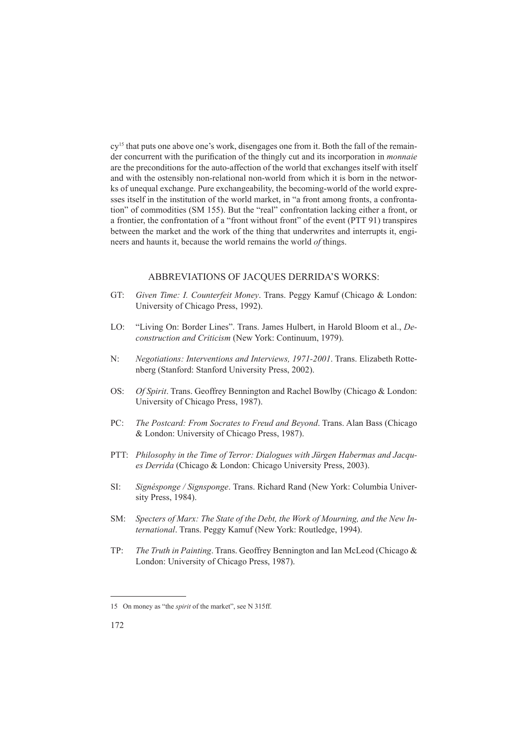cy<sup>15</sup> that puts one above one's work, disengages one from it. Both the fall of the remainder concurrent with the purification of the thingly cut and its incorporation in *monnaie*  are the preconditions for the auto-affection of the world that exchanges itself with itself and with the ostensibly non-relational non-world from which it is born in the networks of unequal exchange. Pure exchangeability, the becoming-world of the world expresses itself in the institution of the world market, in "a front among fronts, a confrontation" of commodities (SM 155). But the "real" confrontation lacking either a front, or a frontier, the confrontation of a "front without front" of the event (PTT 91) transpires between the market and the work of the thing that underwrites and interrupts it, engineers and haunts it, because the world remains the world *of* things.

#### Abbreviations of Jacques Derrida's Works:

- GT: *Given Time: I. Counterfeit Money*. Trans. Peggy Kamuf (Chicago & London: University of Chicago Press, 1992).
- LO: "Living On: Border Lines". Trans. James Hulbert, in Harold Bloom et al., *Deconstruction and Criticism* (New York: Continuum, 1979).
- N: *Negotiations: Interventions and Interviews, 1971-2001*. Trans. Elizabeth Rottenberg (Stanford: Stanford University Press, 2002).
- OS: *Of Spirit*. Trans. Geoffrey Bennington and Rachel Bowlby (Chicago & London: University of Chicago Press, 1987).
- PC: *The Postcard: From Socrates to Freud and Beyond*. Trans. Alan Bass (Chicago & London: University of Chicago Press, 1987).
- PTT: *Philosophy in the Time of Terror: Dialogues with Jürgen Habermas and Jacques Derrida* (Chicago & London: Chicago University Press, 2003).
- SI: *Signésponge / Signsponge*. Trans. Richard Rand (New York: Columbia University Press, 1984).
- SM: *Specters of Marx: The State of the Debt, the Work of Mourning, and the New International*. Trans. Peggy Kamuf (New York: Routledge, 1994).
- TP: *The Truth in Painting*. Trans. Geoffrey Bennington and Ian McLeod (Chicago & London: University of Chicago Press, 1987).

<sup>15</sup> On money as "the *spirit* of the market", see N 315ff.